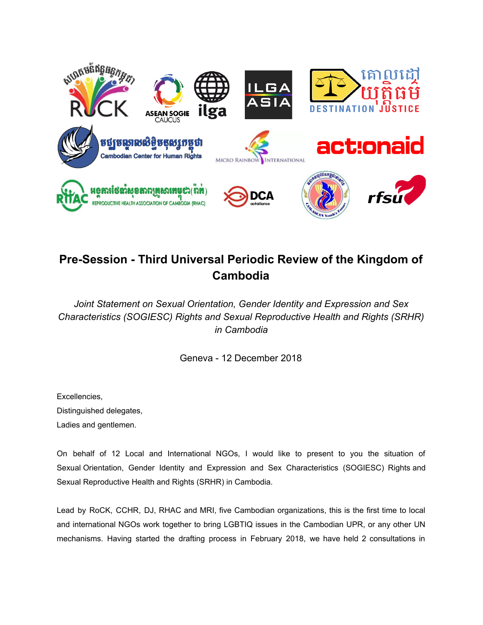

## **Pre-Session - Third Universal Periodic Review of the Kingdom of Cambodia**

*Joint Statement on Sexual Orientation, Gender Identity and Expression and Sex Characteristics (SOGIESC) Rights and Sexual Reproductive Health and Rights (SRHR) in Cambodia*

Geneva - 12 December 2018

Excellencies, Distinguished delegates, Ladies and gentlemen.

On behalf of 12 Local and International NGOs, I would like to present to you the situation of Sexual Orientation, Gender Identity and Expression and Sex Characteristics (SOGIESC) Rights and Sexual Reproductive Health and Rights (SRHR) in Cambodia.

Lead by RoCK, CCHR, DJ, RHAC and MRI, five Cambodian organizations, this is the first time to local and international NGOs work together to bring LGBTIQ issues in the Cambodian UPR, or any other UN mechanisms. Having started the drafting process in February 2018, we have held 2 consultations in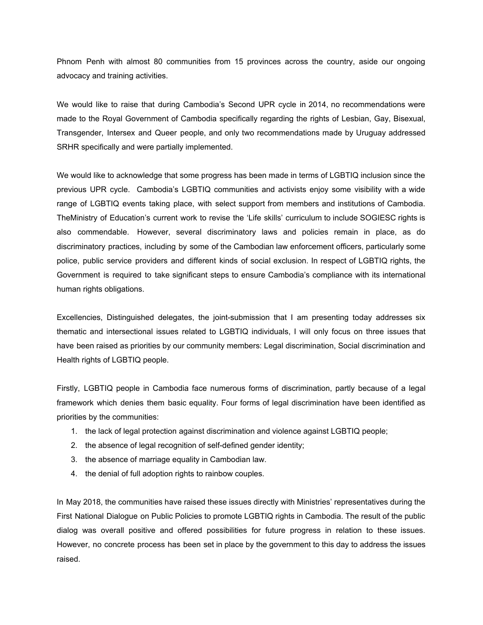Phnom Penh with almost 80 communities from 15 provinces across the country, aside our ongoing advocacy and training activities.

We would like to raise that during Cambodia's Second UPR cycle in 2014, no recommendations were made to the Royal Government of Cambodia specifically regarding the rights of Lesbian, Gay, Bisexual, Transgender, Intersex and Queer people, and only two recommendations made by Uruguay addressed SRHR specifically and were partially implemented.

We would like to acknowledge that some progress has been made in terms of LGBTIQ inclusion since the previous UPR cycle. Cambodia's LGBTIQ communities and activists enjoy some visibility with a wide range of LGBTIQ events taking place, with select support from members and institutions of Cambodia. TheMinistry of Education's current work to revise the 'Life skills' curriculum to include SOGIESC rights is also commendable. However, several discriminatory laws and policies remain in place, as do discriminatory practices, including by some of the Cambodian law enforcement officers, particularly some police, public service providers and different kinds of social exclusion. In respect of LGBTIQ rights, the Government is required to take significant steps to ensure Cambodia's compliance with its international human rights obligations.

Excellencies, Distinguished delegates, the joint-submission that I am presenting today addresses six thematic and intersectional issues related to LGBTIQ individuals, I will only focus on three issues that have been raised as priorities by our community members: Legal discrimination, Social discrimination and Health rights of LGBTIQ people.

Firstly, LGBTIQ people in Cambodia face numerous forms of discrimination, partly because of a legal framework which denies them basic equality. Four forms of legal discrimination have been identified as priorities by the communities:

- 1. the lack of legal protection against discrimination and violence against LGBTIQ people;
- 2. the absence of legal recognition of self-defined gender identity;
- 3. the absence of marriage equality in Cambodian law.
- 4. the denial of full adoption rights to rainbow couples.

In May 2018, the communities have raised these issues directly with Ministries' representatives during the First National Dialogue on Public Policies to promote LGBTIQ rights in Cambodia. The result of the public dialog was overall positive and offered possibilities for future progress in relation to these issues. However, no concrete process has been set in place by the government to this day to address the issues raised.